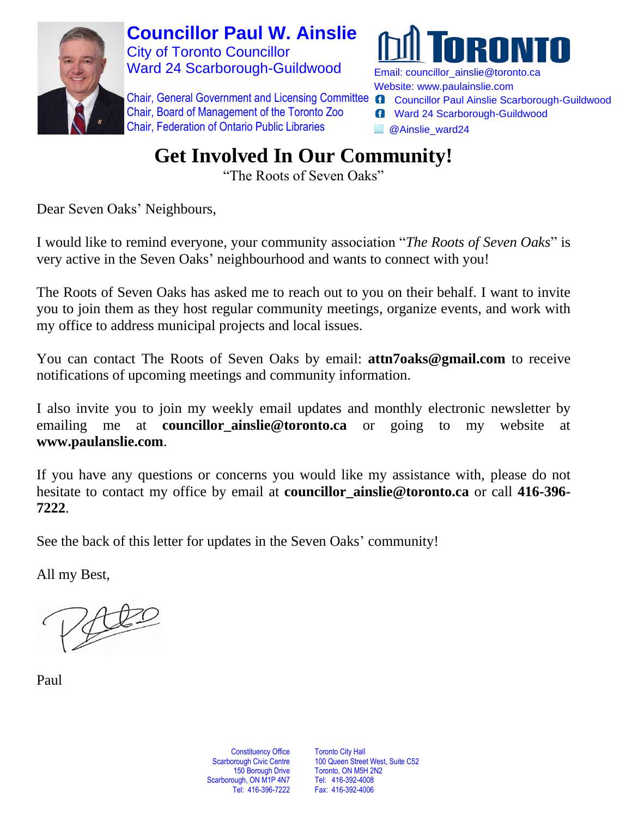

**Councillor Paul W. Ainslie** City of Toronto Councillor Ward 24 Scarborough-Guildwood

Chair, General Government and Licensing Committee @ Councillor Paul Ainslie Scarborough-Guildwood Chair, Board of Management of the Toronto Zoo Chair, Federation of Ontario Public Libraries



Email: [councillor\\_ainslie@toronto.ca](mailto:councillor_ainslie@toronto.ca) Website: [www.paulainslie.com](http://www.paulainslie.com/)

- 
- **6** Ward 24 Scarborough-Guildwood
- **B** @Ainslie\_ward24

# **Get Involved In Our Community!**

"The Roots of Seven Oaks"

Dear Seven Oaks' Neighbours,

I would like to remind everyone, your community association "*The Roots of Seven Oaks*" is very active in the Seven Oaks' neighbourhood and wants to connect with you!

The Roots of Seven Oaks has asked me to reach out to you on their behalf*.* I want to invite you to join them as they host regular community meetings, organize events, and work with my office to address municipal projects and local issues.

You can contact The Roots of Seven Oaks by email: **[attn7oaks@gmail.com](mailto:attn7oaks@gmail.com)** to receive notifications of upcoming meetings and community information.

I also invite you to join my weekly email updates and monthly electronic newsletter by emailing me at **[councillor\\_ainslie@toronto.ca](mailto:councillor_ainslie@toronto.ca)** or going to my website at **www.paulanslie.com**.

If you have any questions or concerns you would like my assistance with, please do not hesitate to contact my office by email at **[councillor\\_ainslie@toronto.ca](mailto:councillor_ainslie@toronto.ca)** or call **416-396- 7222**.

See the back of this letter for updates in the Seven Oaks' community!

All my Best,

Paul

**Constituency Office** Scarborough Civic Centre 150 Borough Drive Scarborough, ON M1P 4N7 Tel: 416-396-7222

Toronto City Hall 100 Queen Street West, Suite C52 Toronto, ON M5H 2N2 Tel: 416-392-4008 Fax: 416-392-4006